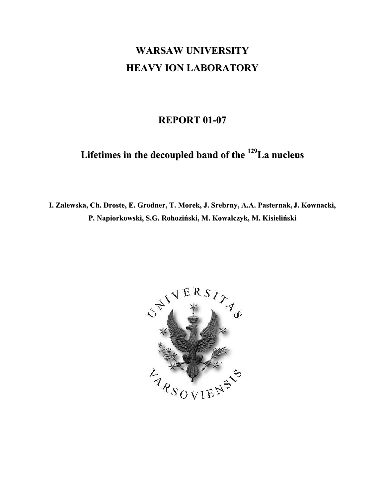## **WARSAW UNIVERSITY HEAVY ION LABORATORY**

## **REPORT 01-07**

**Lifetimes in the decoupled band of the <sup>129</sup> La nucleus**

**I. Zalewska, Ch. Droste, E. Grodner, T. Morek, J. Srebrny, A.A. Pasternak, J. Kownacki, P. Napiorkowski, S.G. Rohoziński, M. Kowalczyk, M. Kisieliński**

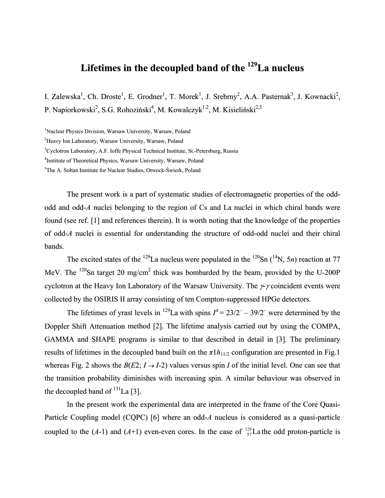## **Lifetimes in the decoupled band of the <sup>129</sup> La nucleus**

I. Zalewska<sup>1</sup>, Ch. Droste<sup>1</sup>, E. Grodner<sup>1</sup>, T. Morek<sup>1</sup>, J. Srebrny<sup>2</sup>, A.A. Pasternak<sup>3</sup>, J. Kownacki<sup>2</sup>, P. Napiorkowski<sup>2</sup>, S.G. Rohoziński<sup>4</sup>, M. Kowalczyk<sup>1,2</sup>, M. Kisieliński<sup>2,5</sup>

<sup>1</sup>Nuclear Physics Division, Warsaw University, Warsaw, Poland

2 Heavy Ion Laboratory, Warsaw University, Warsaw, Poland

<sup>3</sup>Cyclotron Laboratory, A.F. Ioffe Physical Technical Institute, St.-Petersburg, Russia

4 Institute of Theoretical Physics, Warsaw University, Warsaw, Poland

5 The A. Sołtan Institute for Nuclear Studies, Otwock-Świerk, Poland

The present work is a part of systematic studies of electromagnetic properties of the oddodd and odd-*A* nuclei belonging to the region of Cs and La nuclei in which chiral bands were found (see ref. [1] and references therein). It is worth noting that the knowledge of the properties of odd-*A* nuclei is essential for understanding the structure of odd-odd nuclei and their chiral bands.

The excited states of the <sup>129</sup>La nucleus were populated in the <sup>120</sup>Sn (<sup>14</sup>N, 5*n*) reaction at 77 MeV. The  $120$ Sn target 20 mg/cm<sup>2</sup> thick was bombarded by the beam, provided by the U-200P cyclotron at the Heavy Ion Laboratory of the Warsaw University. The  $\gamma$  coincident events were collected by the OSIRIS II array consisting of ten Compton-suppressed HPGe detectors.

The lifetimes of yrast levels in <sup>129</sup>La with spins  $I^{\pi} = 23/2^- - 39/2^-$  were determined by the Doppler Shift Attenuation method [2]. The lifetime analysis carried out by using the COMPA, GAMMA and SHAPE programs is similar to that described in detail in [3]. The preliminary results of lifetimes in the decoupled band built on the  $\pi$ 1*h*<sub>11/2</sub> configuration are presented in Fig.1 whereas Fig. 2 shows the  $B(E2; I \rightarrow I-2)$  values versus spin *I* of the initial level. One can see that the transition probability diminishes with increasing spin. A similar behaviour was observed in the decoupled band of  $^{131}$ La [3].

In the present work the experimental data are interpreted in the frame of the Core Quasi-Particle Coupling model (CQPC) [6] where an odd-*A* nucleus is considered as a quasi-particle coupled to the  $(A-1)$  and  $(A+1)$  even-even cores. In the case of  $\frac{129}{57}$ La the odd proton-particle is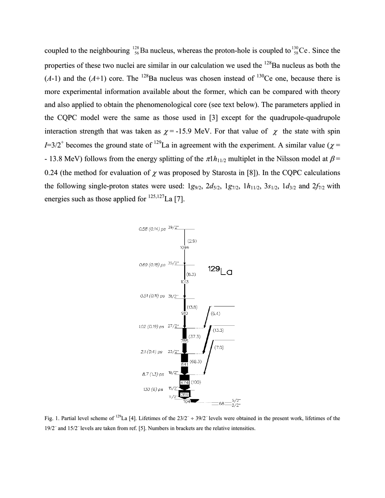coupled to the neighbouring  $^{128}_{56}$ Ba nucleus, whereas the proton-hole is coupled to  $^{130}_{58}$ Ce. Since the properties of these two nuclei are similar in our calculation we used the <sup>128</sup>Ba nucleus as both the  $(A-1)$  and the  $(A+1)$  core. The <sup>128</sup>Ba nucleus was chosen instead of <sup>130</sup>Ce one, because there is more experimental information available about the former, which can be compared with theory and also applied to obtain the phenomenological core (see text below). The parameters applied in the CQPC model were the same as those used in [3] except for the quadrupole-quadrupole interaction strength that was taken as  $\chi$  = -15.9 MeV. For that value of  $\chi$  the state with spin  $I=3/2^+$  becomes the ground state of <sup>129</sup>La in agreement with the experiment. A similar value ( $\chi$  = - 13.8 MeV) follows from the energy splitting of the  $\pi$ 1*h*<sub>11/2</sub> multiplet in the Nilsson model at  $\beta$ = 0.24 (the method for evaluation of  $\chi$  was proposed by Starosta in [8]). In the CQPC calculations the following single-proton states were used:  $1g_{9/2}$ ,  $2d_{5/2}$ ,  $1g_{7/2}$ ,  $1h_{11/2}$ ,  $3s_{1/2}$ ,  $1d_{3/2}$  and  $2f_{7/2}$  with energies such as those applied for  $^{125,127}$ La [7].



Fig. 1. Partial level scheme of <sup>129</sup>La [4]. Lifetimes of the  $23/2^- \div 39/2^-$  levels were obtained in the present work, lifetimes of the 19/2<sup>-</sup> and 15/2<sup>-</sup> levels are taken from ref. [5]. Numbers in brackets are the relative intensities.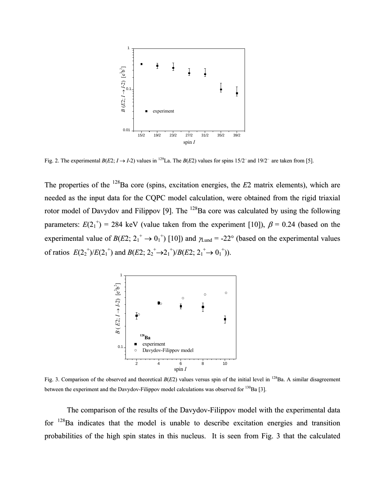

Fig. 2. The experimental  $B(E2; I \rightarrow I-2)$  values in <sup>129</sup>La. The  $B(E2)$  values for spins 15/2<sup>-</sup> and 19/2<sup>-</sup> are taken from [5].

The properties of the <sup>128</sup>Ba core (spins, excitation energies, the *E*2 matrix elements), which are needed as the input data for the CQPC model calculation, were obtained from the rigid triaxial rotor model of Davydov and Filippov [9]. The <sup>128</sup>Ba core was calculated by using the following parameters:  $E(2_1^{\dagger}) = 284$  keV (value taken from the experiment [10]),  $\beta = 0.24$  (based on the experimental value of  $B(E2; 2_1^+ \rightarrow 0_1^+)$  [10]) and  $\gamma_{\text{Lund}} = -22^{\circ}$  (based on the experimental values of ratios  $E(2_2^+)/E(2_1^+)$  and  $B(E2; 2_2^+ \rightarrow 2_1^+)/B(E2; 2_1^+ \rightarrow 0_1^+))$ .



Fig. 3. Comparison of the observed and theoretical  $B(E2)$  values versus spin of the initial level in <sup>128</sup>Ba. A similar disagreement between the experiment and the Davydov-Filippov model calculations was observed for <sup>130</sup>Ba [3].

The comparison of the results of the Davydov-Filippov model with the experimental data for <sup>128</sup>Ba indicates that the model is unable to describe excitation energies and transition probabilities of the high spin states in this nucleus. It is seen from Fig. 3 that the calculated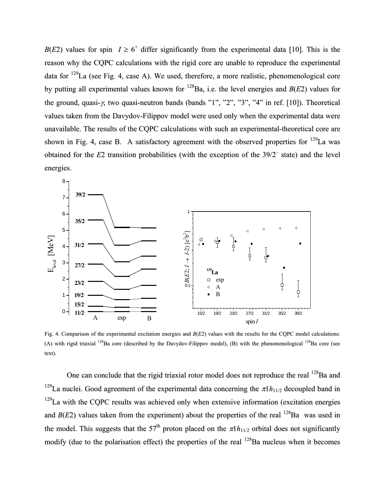*B*(*E*2) values for spin  $I \ge 6^+$  differ significantly from the experimental data [10]. This is the reason why the CQPC calculations with the rigid core are unable to reproduce the experimental data for  $129$ La (see Fig. 4, case A). We used, therefore, a more realistic, phenomenological core by putting all experimental values known for <sup>128</sup> Ba, i.e. the level energies and *B*(*E*2) values for the ground, quasi-γ, two quasi-neutron bands (bands "1", "2", "3", "4" in ref. [10]). Theoretical values taken from the Davydov-Filippov model were used only when the experimental data were unavailable. The results of the CQPC calculations with such an experimental-theoretical core are shown in Fig. 4, case B. A satisfactory agreement with the observed properties for  $^{129}$ La was obtained for the *E*2 transition probabilities (with the exception of the 39/2– state) and the level energies.



Fig. 4. Comparison of the experimental excitation energies and *B*(*E*2) values with the results for the CQPC model calculations: (A) with rigid triaxial  $^{128}$ Ba core (described by the Davydov-Filippov model), (B) with the phenomenological  $^{128}$ Ba core (see text).

One can conclude that the rigid triaxial rotor model does not reproduce the real <sup>128</sup>Ba and <sup>129</sup>La nuclei. Good agreement of the experimental data concerning the  $\pi$ 1*h*<sub>11/2</sub> decoupled band in  $129$ La with the CQPC results was achieved only when extensive information (excitation energies and  $B(E2)$  values taken from the experiment) about the properties of the real  $^{128}$ Ba was used in the model. This suggests that the 57<sup>th</sup> proton placed on the  $\pi$ 1*h*<sub>11/2</sub> orbital does not significantly modify (due to the polarisation effect) the properties of the real <sup>128</sup>Ba nucleus when it becomes